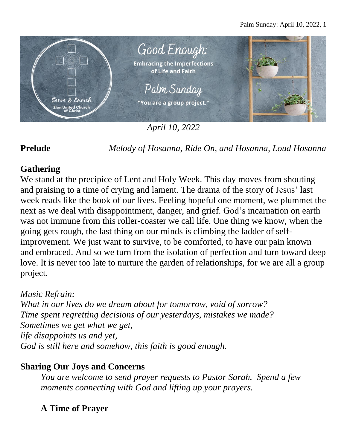

*April 10, 2022*

**Prelude** *Melody of Hosanna, Ride On, and Hosanna, Loud Hosanna*

## **Gathering**

We stand at the precipice of Lent and Holy Week. This day moves from shouting and praising to a time of crying and lament. The drama of the story of Jesus' last week reads like the book of our lives. Feeling hopeful one moment, we plummet the next as we deal with disappointment, danger, and grief. God's incarnation on earth was not immune from this roller-coaster we call life. One thing we know, when the going gets rough, the last thing on our minds is climbing the ladder of selfimprovement. We just want to survive, to be comforted, to have our pain known and embraced. And so we turn from the isolation of perfection and turn toward deep love. It is never too late to nurture the garden of relationships, for we are all a group project.

## *Music Refrain:*

*What in our lives do we dream about for tomorrow, void of sorrow? Time spent regretting decisions of our yesterdays, mistakes we made? Sometimes we get what we get, life disappoints us and yet, God is still here and somehow, this faith is good enough.*

## **Sharing Our Joys and Concerns**

*You are welcome to send prayer requests to Pastor Sarah. Spend a few moments connecting with God and lifting up your prayers.*

# **A Time of Prayer**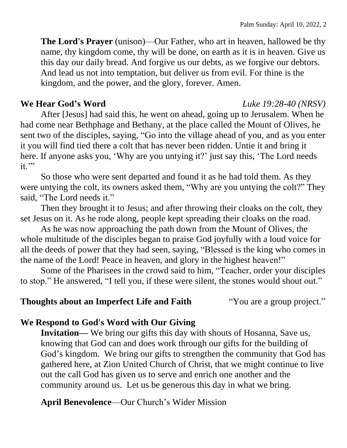**The Lord's Prayer** (unison)—Our Father, who art in heaven, hallowed be thy name, thy kingdom come, thy will be done, on earth as it is in heaven. Give us this day our daily bread. And forgive us our debts, as we forgive our debtors. And lead us not into temptation, but deliver us from evil. For thine is the kingdom, and the power, and the glory, forever. Amen.

#### **We Hear God's Word** *Luke 19:28-40 (NRSV)*

After [Jesus] had said this, he went on ahead, going up to Jerusalem. When he had come near Bethphage and Bethany, at the place called the Mount of Olives, he sent two of the disciples, saying, "Go into the village ahead of you, and as you enter it you will find tied there a colt that has never been ridden. Untie it and bring it here. If anyone asks you, 'Why are you untying it?' just say this, 'The Lord needs  $it.$ "

So those who were sent departed and found it as he had told them. As they were untying the colt, its owners asked them, "Why are you untying the colt?" They said, "The Lord needs it."

Then they brought it to Jesus; and after throwing their cloaks on the colt, they set Jesus on it. As he rode along, people kept spreading their cloaks on the road.

As he was now approaching the path down from the Mount of Olives, the whole multitude of the disciples began to praise God joyfully with a loud voice for all the deeds of power that they had seen, saying, "Blessed is the king who comes in the name of the Lord! Peace in heaven, and glory in the highest heaven!"

Some of the Pharisees in the crowd said to him, "Teacher, order your disciples to stop." He answered, "I tell you, if these were silent, the stones would shout out."

### **Thoughts about an Imperfect Life and Faith** "You are a group project."

## **We Respond to God's Word with Our Giving**

**Invitation—** We bring our gifts this day with shouts of Hosanna, Save us, knowing that God can and does work through our gifts for the building of God's kingdom. We bring our gifts to strengthen the community that God has gathered here, at Zion United Church of Christ, that we might continue to live out the call God has given us to serve and enrich one another and the community around us. Let us be generous this day in what we bring.

**April Benevolence**—Our Church's Wider Mission